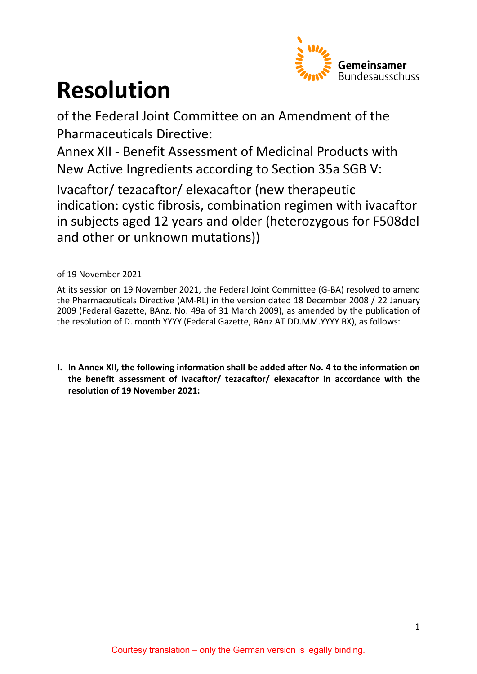

# **Resolution**

of the Federal Joint Committee on an Amendment of the Pharmaceuticals Directive:

Annex XII - Benefit Assessment of Medicinal Products with New Active Ingredients according to Section 35a SGB V:

Ivacaftor/ tezacaftor/ elexacaftor (new therapeutic indication: cystic fibrosis, combination regimen with ivacaftor in subjects aged 12 years and older (heterozygous for F508del and other or unknown mutations))

of 19 November 2021

At its session on 19 November 2021, the Federal Joint Committee (G-BA) resolved to amend the Pharmaceuticals Directive (AM-RL) in the version dated 18 December 2008 / 22 January 2009 (Federal Gazette, BAnz. No. 49a of 31 March 2009), as amended by the publication of the resolution of D. month YYYY (Federal Gazette, BAnz AT DD.MM.YYYY BX), as follows:

**I. In Annex XII, the following information shall be added after No. 4 to the information on the benefit assessment of ivacaftor/ tezacaftor/ elexacaftor in accordance with the resolution of 19 November 2021:**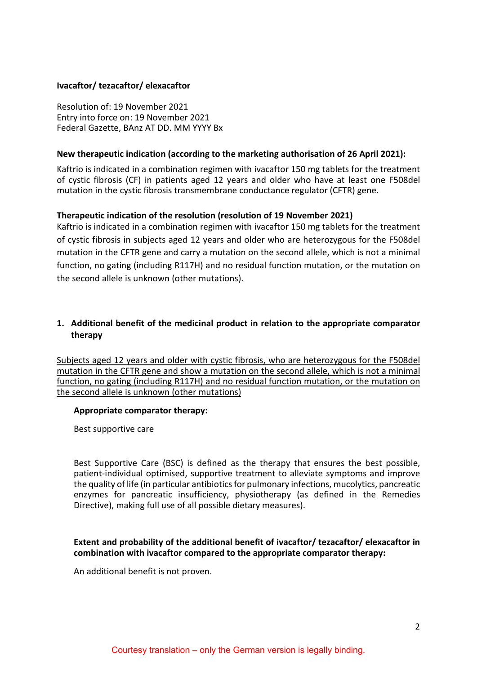#### **Ivacaftor/ tezacaftor/ elexacaftor**

Resolution of: 19 November 2021 Entry into force on: 19 November 2021 Federal Gazette, BAnz AT DD. MM YYYY Bx

#### **New therapeutic indication (according to the marketing authorisation of 26 April 2021):**

Kaftrio is indicated in a combination regimen with ivacaftor 150 mg tablets for the treatment of cystic fibrosis (CF) in patients aged 12 years and older who have at least one F508del mutation in the cystic fibrosis transmembrane conductance regulator (CFTR) gene.

# **Therapeutic indication of the resolution (resolution of 19 November 2021)**

Kaftrio is indicated in a combination regimen with ivacaftor 150 mg tablets for the treatment of cystic fibrosis in subjects aged 12 years and older who are heterozygous for the F508del mutation in the CFTR gene and carry a mutation on the second allele, which is not a minimal function, no gating (including R117H) and no residual function mutation, or the mutation on the second allele is unknown (other mutations).

# **1. Additional benefit of the medicinal product in relation to the appropriate comparator therapy**

Subjects aged 12 years and older with cystic fibrosis, who are heterozygous for the F508del mutation in the CFTR gene and show a mutation on the second allele, which is not a minimal function, no gating (including R117H) and no residual function mutation, or the mutation on the second allele is unknown (other mutations)

#### **Appropriate comparator therapy:**

Best supportive care

Best Supportive Care (BSC) is defined as the therapy that ensures the best possible, patient-individual optimised, supportive treatment to alleviate symptoms and improve the quality of life (in particular antibiotics for pulmonary infections, mucolytics, pancreatic enzymes for pancreatic insufficiency, physiotherapy (as defined in the Remedies Directive), making full use of all possible dietary measures).

#### **Extent and probability of the additional benefit of ivacaftor/ tezacaftor/ elexacaftor in combination with ivacaftor compared to the appropriate comparator therapy:**

An additional benefit is not proven.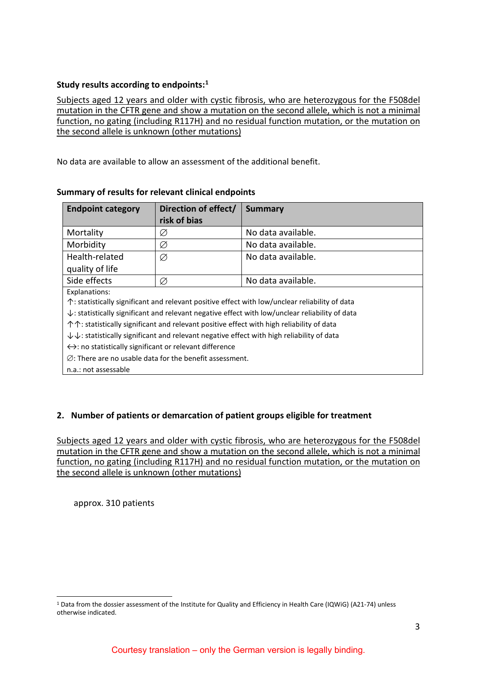# **Study results according to endpoints:[1](#page-2-0)**

Subjects aged 12 years and older with cystic fibrosis, who are heterozygous for the F508del mutation in the CFTR gene and show a mutation on the second allele, which is not a minimal function, no gating (including R117H) and no residual function mutation, or the mutation on the second allele is unknown (other mutations)

No data are available to allow an assessment of the additional benefit.

| <b>Endpoint category</b>                                                                                       | Direction of effect/ | <b>Summary</b>     |
|----------------------------------------------------------------------------------------------------------------|----------------------|--------------------|
|                                                                                                                | risk of bias         |                    |
| Mortality                                                                                                      | Ø                    | No data available. |
| Morbidity                                                                                                      | Ø                    | No data available. |
| Health-related                                                                                                 | Ø                    | No data available. |
| quality of life                                                                                                |                      |                    |
| Side effects                                                                                                   | Ø                    | No data available. |
| Explanations:                                                                                                  |                      |                    |
| $\uparrow$ : statistically significant and relevant positive effect with low/unclear reliability of data       |                      |                    |
| $\downarrow$ : statistically significant and relevant negative effect with low/unclear reliability of data     |                      |                    |
| 个个: statistically significant and relevant positive effect with high reliability of data                       |                      |                    |
| $\downarrow \downarrow$ : statistically significant and relevant negative effect with high reliability of data |                      |                    |
| $\leftrightarrow$ : no statistically significant or relevant difference                                        |                      |                    |
| $\varnothing$ : There are no usable data for the benefit assessment.                                           |                      |                    |
| n.a.: not assessable                                                                                           |                      |                    |

# **Summary of results for relevant clinical endpoints**

# **2. Number of patients or demarcation of patient groups eligible for treatment**

Subjects aged 12 years and older with cystic fibrosis, who are heterozygous for the F508del mutation in the CFTR gene and show a mutation on the second allele, which is not a minimal function, no gating (including R117H) and no residual function mutation, or the mutation on the second allele is unknown (other mutations)

approx. 310 patients

<span id="page-2-0"></span> <sup>1</sup> Data from the dossier assessment of the Institute for Quality and Efficiency in Health Care (IQWiG) (A21-74) unless otherwise indicated.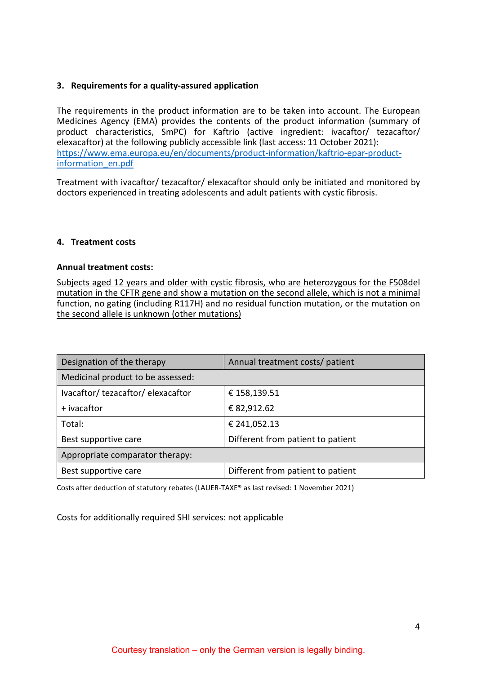#### **3. Requirements for a quality-assured application**

The requirements in the product information are to be taken into account. The European Medicines Agency (EMA) provides the contents of the product information (summary of product characteristics, SmPC) for Kaftrio (active ingredient: ivacaftor/ tezacaftor/ elexacaftor) at the following publicly accessible link (last access: 11 October 2021): [https://www.ema.europa.eu/en/documents/product-information/kaftrio-epar-product](https://www.ema.europa.eu/en/documents/product-information/kaftrio-epar-product-information_en.pdf)[information\\_en.pdf](https://www.ema.europa.eu/en/documents/product-information/kaftrio-epar-product-information_en.pdf)

Treatment with ivacaftor/ tezacaftor/ elexacaftor should only be initiated and monitored by doctors experienced in treating adolescents and adult patients with cystic fibrosis.

# **4. Treatment costs**

#### **Annual treatment costs:**

Subjects aged 12 years and older with cystic fibrosis, who are heterozygous for the F508del mutation in the CFTR gene and show a mutation on the second allele, which is not a minimal function, no gating (including R117H) and no residual function mutation, or the mutation on the second allele is unknown (other mutations)

| Designation of the therapy        | Annual treatment costs/ patient   |  |
|-----------------------------------|-----------------------------------|--|
| Medicinal product to be assessed: |                                   |  |
| Ivacaftor/tezacaftor/elexacaftor  | € 158,139.51                      |  |
| + ivacaftor                       | € 82,912.62                       |  |
| Total:                            | € 241,052.13                      |  |
| Best supportive care              | Different from patient to patient |  |
| Appropriate comparator therapy:   |                                   |  |
| Best supportive care              | Different from patient to patient |  |

Costs after deduction of statutory rebates (LAUER-TAXE® as last revised: 1 November 2021)

Costs for additionally required SHI services: not applicable